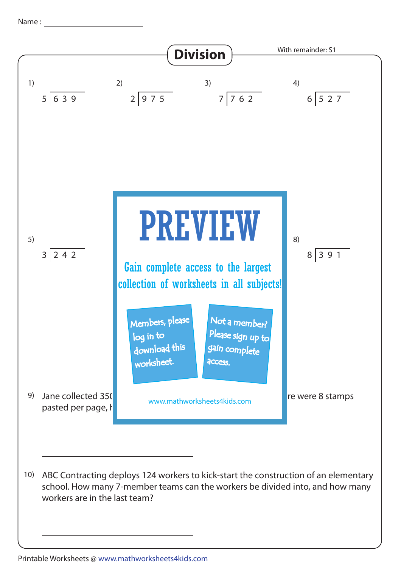